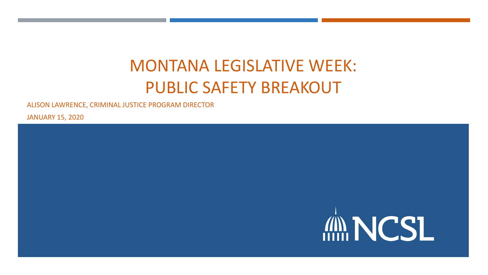## MONTANA LEGISLATIVE WEEK: PUBLIC SAFETY BREAKOUT

ALISON LAWRENCE, CRIMINAL JUSTICE PROGRAM DIRECTOR

JANUARY 15, 2020

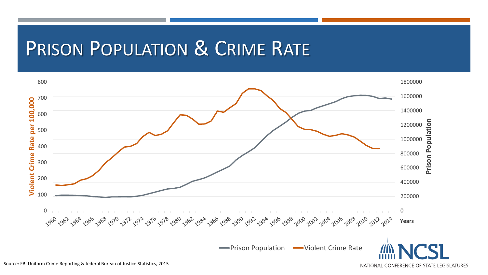## PRISON POPULATION & CRIME RATE



Source: FBI Uniform Crime Reporting & federal Bureau of Justice Statistics, 2015L

NATIONAL CONFERENCE OF STATE LEGISLATURES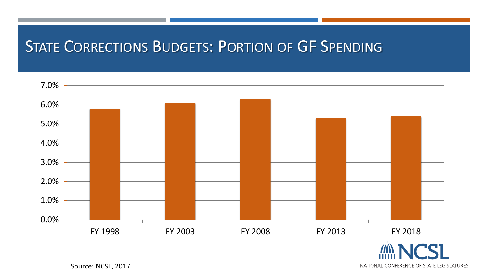### STATE CORRECTIONS BUDGETS: PORTION OF GF SPENDING



NATIONAL CONFERENCE OF STATE LEGISLATURES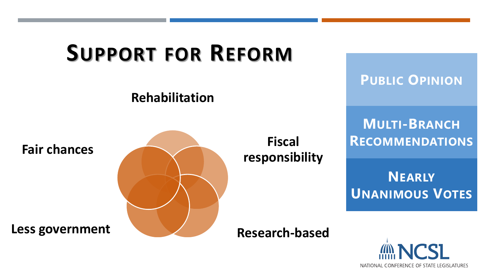

NATIONAL CONFERENCE OF STATE LEGISLATURES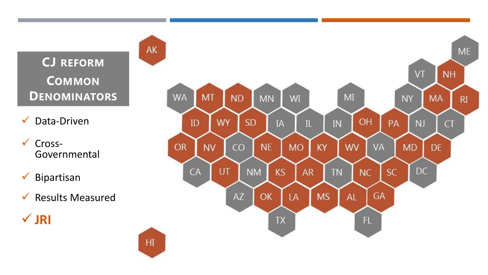

✓ Data-Driven

- ✓ Cross-Governmental
- $\checkmark$  Bipartisan

✓ **JRI**

 $\checkmark$  Results Measured

 $H$ 

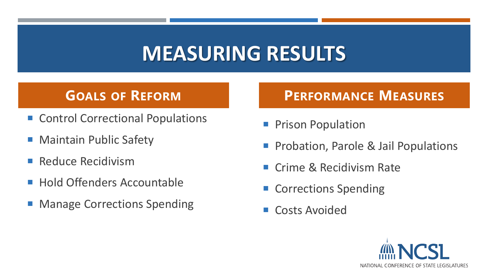## **MEASURING RESULTS**

- Control Correctional Populations
- Maintain Public Safety
- **Reduce Recidivism**
- **Hold Offenders Accountable**
- Manage Corrections Spending

#### **GOALS OF REFORM PERFORMANCE MEASURES**

- Prison Population
- Probation, Parole & Jail Populations
- Crime & Recidivism Rate
- Corrections Spending
- **E** Costs Avoided

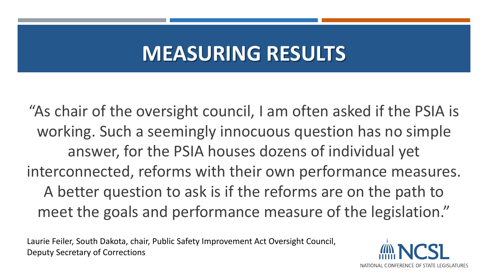# **MEASURING RESULTS**

"As chair of the oversight council, I am often asked if the PSIA is working. Such a seemingly innocuous question has no simple answer, for the PSIA houses dozens of individual yet interconnected, reforms with their own performance measures. A better question to ask is if the reforms are on the path to meet the goals and performance measure of the legislation."

Laurie Feiler, South Dakota, chair, Public Safety Improvement Act Oversight Council, Deputy Secretary of Corrections

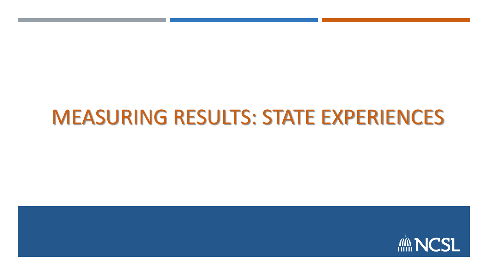## MEASURING RESULTS: STATE EXPERIENCES

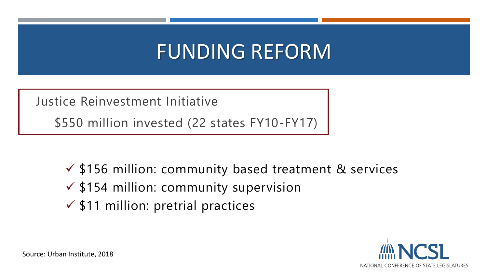## FUNDING REFORM

Justice Reinvestment Initiative

\$550 million invested (22 states FY10-FY17)

- ✓ \$156 million: community based treatment & services
- ✓ \$154 million: community supervision
- $\checkmark$  \$11 million: pretrial practices